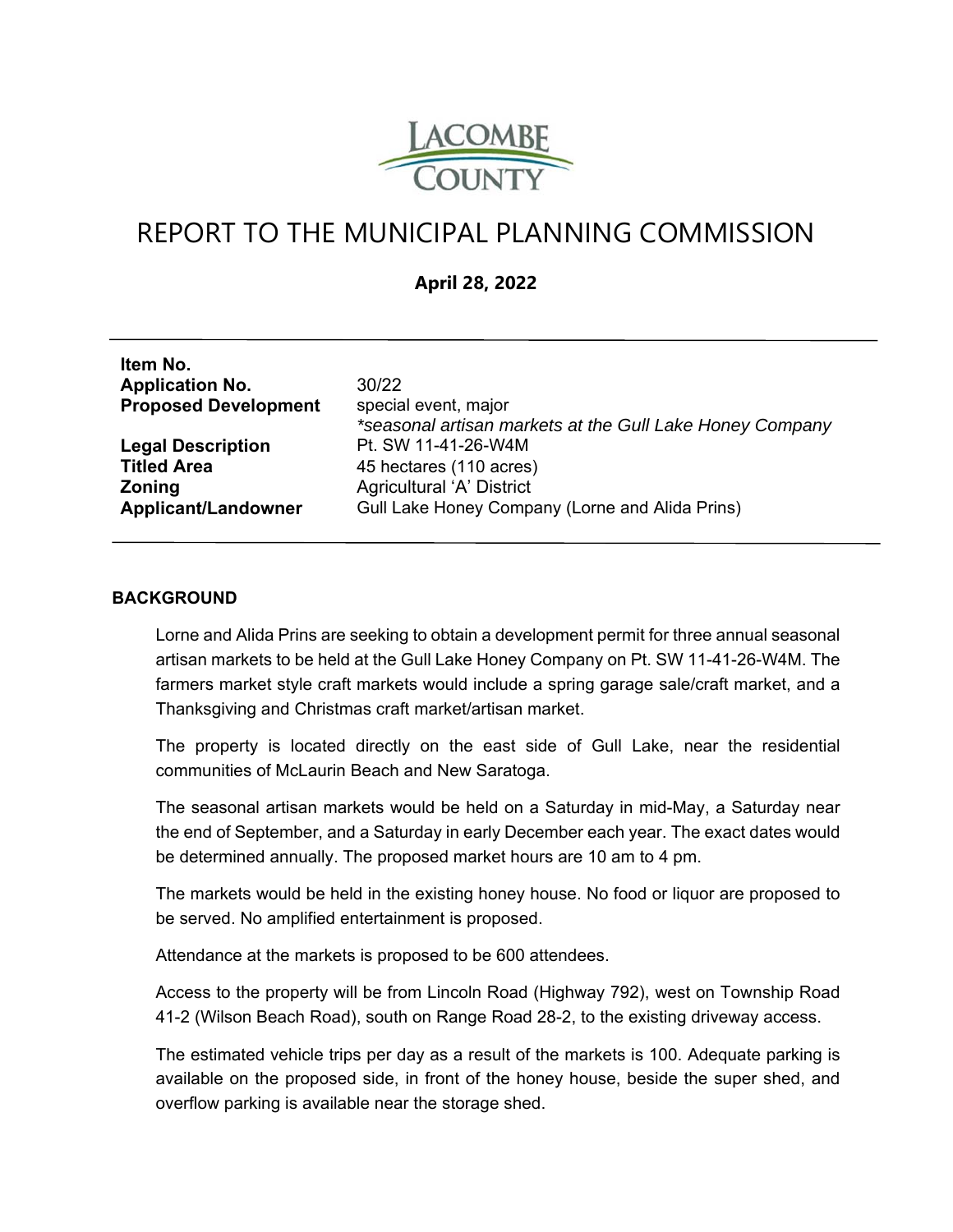

# REPORT TO THE MUNICIPAL PLANNING COMMISSION

## **April 28, 2022**

| Item No.                    |                                                          |
|-----------------------------|----------------------------------------------------------|
| <b>Application No.</b>      | 30/22                                                    |
| <b>Proposed Development</b> | special event, major                                     |
|                             | *seasonal artisan markets at the Gull Lake Honey Company |
| <b>Legal Description</b>    | Pt. SW 11-41-26-W4M                                      |
| <b>Titled Area</b>          | 45 hectares (110 acres)                                  |
| <b>Zoning</b>               | Agricultural 'A' District                                |
| <b>Applicant/Landowner</b>  | Gull Lake Honey Company (Lorne and Alida Prins)          |
|                             |                                                          |

#### **BACKGROUND**

Lorne and Alida Prins are seeking to obtain a development permit for three annual seasonal artisan markets to be held at the Gull Lake Honey Company on Pt. SW 11-41-26-W4M. The farmers market style craft markets would include a spring garage sale/craft market, and a Thanksgiving and Christmas craft market/artisan market.

The property is located directly on the east side of Gull Lake, near the residential communities of McLaurin Beach and New Saratoga.

The seasonal artisan markets would be held on a Saturday in mid-May, a Saturday near the end of September, and a Saturday in early December each year. The exact dates would be determined annually. The proposed market hours are 10 am to 4 pm.

The markets would be held in the existing honey house. No food or liquor are proposed to be served. No amplified entertainment is proposed.

Attendance at the markets is proposed to be 600 attendees.

Access to the property will be from Lincoln Road (Highway 792), west on Township Road 41-2 (Wilson Beach Road), south on Range Road 28-2, to the existing driveway access.

The estimated vehicle trips per day as a result of the markets is 100. Adequate parking is available on the proposed side, in front of the honey house, beside the super shed, and overflow parking is available near the storage shed.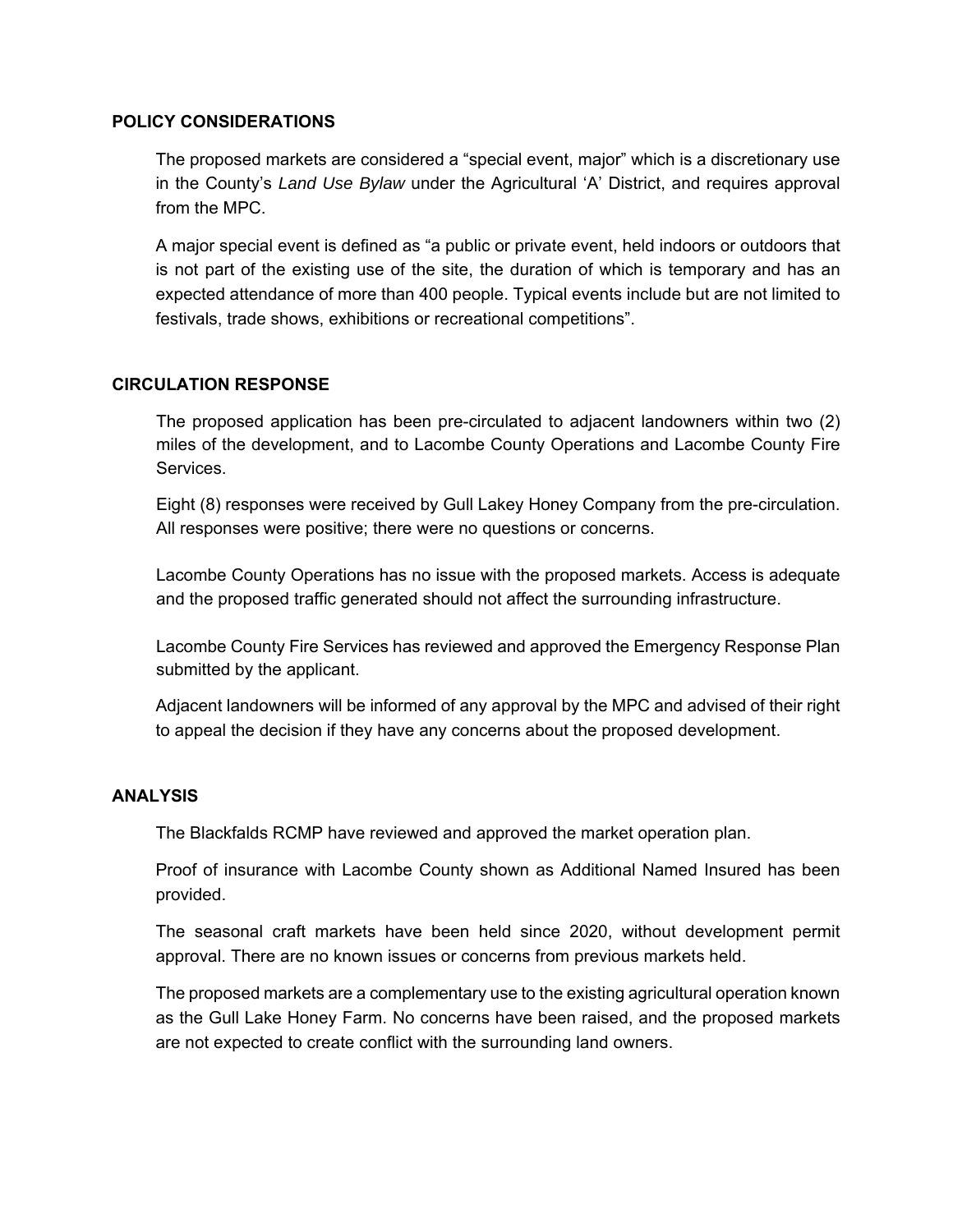#### **POLICY CONSIDERATIONS**

The proposed markets are considered a "special event, major" which is a discretionary use in the County's *Land Use Bylaw* under the Agricultural 'A' District, and requires approval from the MPC.

A major special event is defined as "a public or private event, held indoors or outdoors that is not part of the existing use of the site, the duration of which is temporary and has an expected attendance of more than 400 people. Typical events include but are not limited to festivals, trade shows, exhibitions or recreational competitions".

### **CIRCULATION RESPONSE**

The proposed application has been pre-circulated to adjacent landowners within two (2) miles of the development, and to Lacombe County Operations and Lacombe County Fire Services.

Eight (8) responses were received by Gull Lakey Honey Company from the pre-circulation. All responses were positive; there were no questions or concerns.

Lacombe County Operations has no issue with the proposed markets. Access is adequate and the proposed traffic generated should not affect the surrounding infrastructure.

Lacombe County Fire Services has reviewed and approved the Emergency Response Plan submitted by the applicant.

Adjacent landowners will be informed of any approval by the MPC and advised of their right to appeal the decision if they have any concerns about the proposed development.

### **ANALYSIS**

The Blackfalds RCMP have reviewed and approved the market operation plan.

Proof of insurance with Lacombe County shown as Additional Named Insured has been provided.

The seasonal craft markets have been held since 2020, without development permit approval. There are no known issues or concerns from previous markets held.

The proposed markets are a complementary use to the existing agricultural operation known as the Gull Lake Honey Farm. No concerns have been raised, and the proposed markets are not expected to create conflict with the surrounding land owners.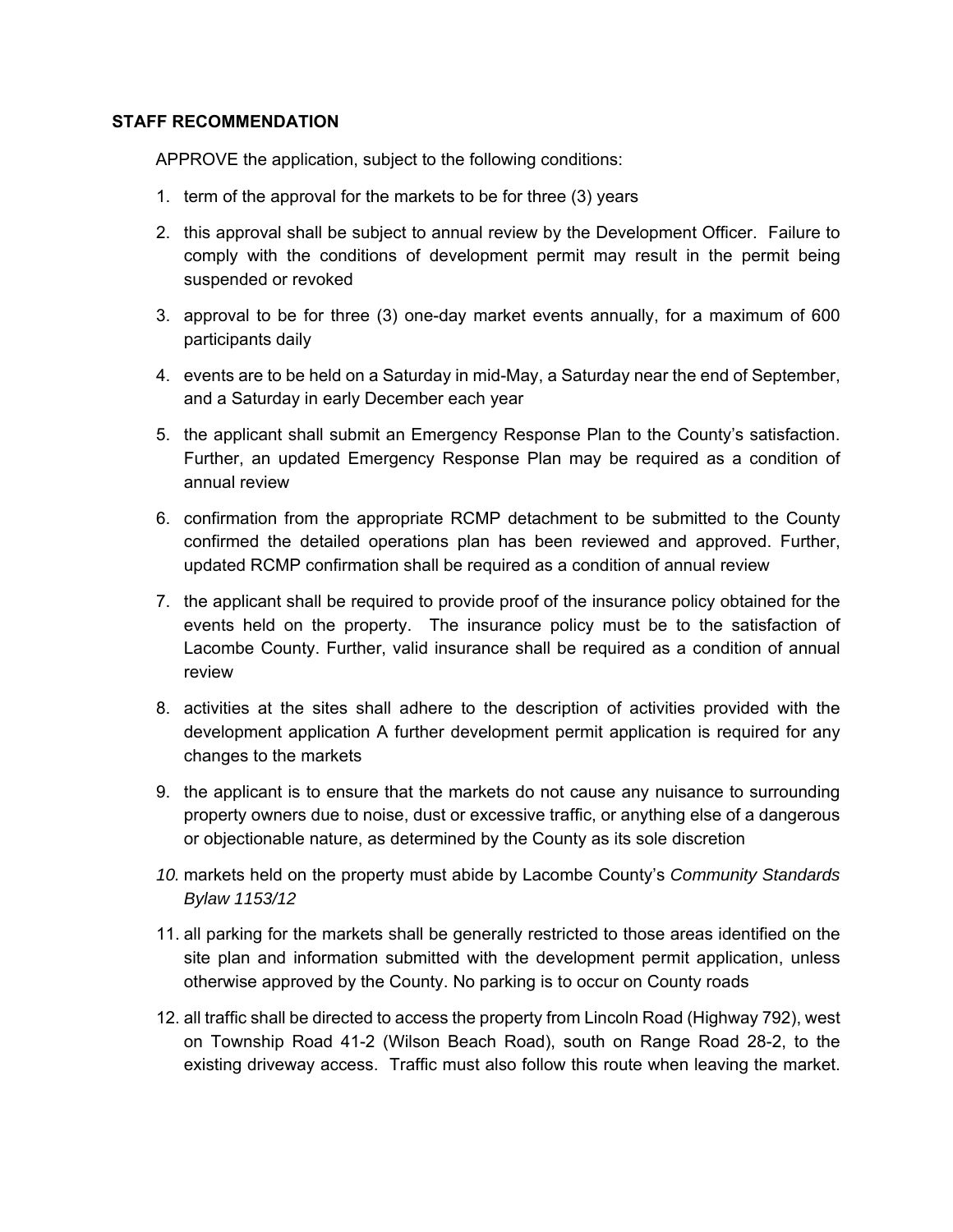#### **STAFF RECOMMENDATION**

APPROVE the application, subject to the following conditions:

- 1. term of the approval for the markets to be for three (3) years
- 2. this approval shall be subject to annual review by the Development Officer. Failure to comply with the conditions of development permit may result in the permit being suspended or revoked
- 3. approval to be for three (3) one-day market events annually, for a maximum of 600 participants daily
- 4. events are to be held on a Saturday in mid-May, a Saturday near the end of September, and a Saturday in early December each year
- 5. the applicant shall submit an Emergency Response Plan to the County's satisfaction. Further, an updated Emergency Response Plan may be required as a condition of annual review
- 6. confirmation from the appropriate RCMP detachment to be submitted to the County confirmed the detailed operations plan has been reviewed and approved. Further, updated RCMP confirmation shall be required as a condition of annual review
- 7. the applicant shall be required to provide proof of the insurance policy obtained for the events held on the property. The insurance policy must be to the satisfaction of Lacombe County. Further, valid insurance shall be required as a condition of annual review
- 8. activities at the sites shall adhere to the description of activities provided with the development application A further development permit application is required for any changes to the markets
- 9. the applicant is to ensure that the markets do not cause any nuisance to surrounding property owners due to noise, dust or excessive traffic, or anything else of a dangerous or objectionable nature, as determined by the County as its sole discretion
- *10.* markets held on the property must abide by Lacombe County's *Community Standards Bylaw 1153/12*
- 11. all parking for the markets shall be generally restricted to those areas identified on the site plan and information submitted with the development permit application, unless otherwise approved by the County. No parking is to occur on County roads
- 12. all traffic shall be directed to access the property from Lincoln Road (Highway 792), west on Township Road 41-2 (Wilson Beach Road), south on Range Road 28-2, to the existing driveway access. Traffic must also follow this route when leaving the market.